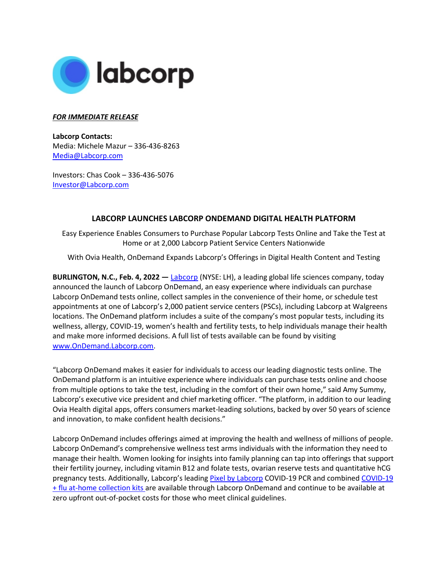

## *FOR IMMEDIATE RELEASE*

**Labcorp Contacts:**  Media: Michele Mazur – 336-436-8263 [Media@Labcorp.com](mailto:Media@Labcorp.com)

Investors: Chas Cook – 336-436-5076 [Investor@Labcorp.com](mailto:Investor@Labcorp.com)

## **LABCORP LAUNCHES LABCORP ONDEMAND DIGITAL HEALTH PLATFORM**

Easy Experience Enables Consumers to Purchase Popular Labcorp Tests Online and Take the Test at Home or at 2,000 Labcorp Patient Service Centers Nationwide

With Ovia Health, OnDemand Expands Labcorp's Offerings in Digital Health Content and Testing

**BURLINGTON, N.C., Feb. 4, 2022 —** [Labcorp](https://www.labcorp.com/) (NYSE: LH), a leading global life sciences company, today announced the launch of Labcorp OnDemand, an easy experience where individuals can purchase Labcorp OnDemand tests online, collect samples in the convenience of their home, or schedule test appointments at one of Labcorp's 2,000 patient service centers (PSCs), including Labcorp at Walgreens locations. The OnDemand platform includes a suite of the company's most popular tests, including its wellness, allergy, COVID-19, women's health and fertility tests, to help individuals manage their health and make more informed decisions. A full list of tests available can be found by visiting [www.OnDemand.Labcorp.com.](http://www.ondemand.labcorp.com/)

"Labcorp OnDemand makes it easier for individuals to access our leading diagnostic tests online. The OnDemand platform is an intuitive experience where individuals can purchase tests online and choose from multiple options to take the test, including in the comfort of their own home," said Amy Summy, Labcorp's executive vice president and chief marketing officer. "The platform, in addition to our leading Ovia Health digital apps, offers consumers market-leading solutions, backed by over 50 years of science and innovation, to make confident health decisions."

Labcorp OnDemand includes offerings aimed at improving the health and wellness of millions of people. Labcorp OnDemand's comprehensive wellness test arms individuals with the information they need to manage their health. Women looking for insights into family planning can tap into offerings that support their fertility journey, including vitamin B12 and folate tests, ovarian reserve tests and quantitative hCG pregnancy tests. Additionally, Labcorp's leading [Pixel by Labcorp](https://www.labcorp.com/coronavirus-disease-covid-19/news/labcorp-receives-fda-authorization-make-home-covid-19-collection-kits-available-through-retail) COVID-19 PCR and combined [COVID-19](https://www.labcorp.com/newsroom/labcorp-receives-emergency-use-authorization-home-collection-kit-combined-covid-19-and-flu)  [+ flu at-home collection kits](https://www.labcorp.com/newsroom/labcorp-receives-emergency-use-authorization-home-collection-kit-combined-covid-19-and-flu) are available through Labcorp OnDemand and continue to be available at zero upfront out-of-pocket costs for those who meet clinical guidelines.